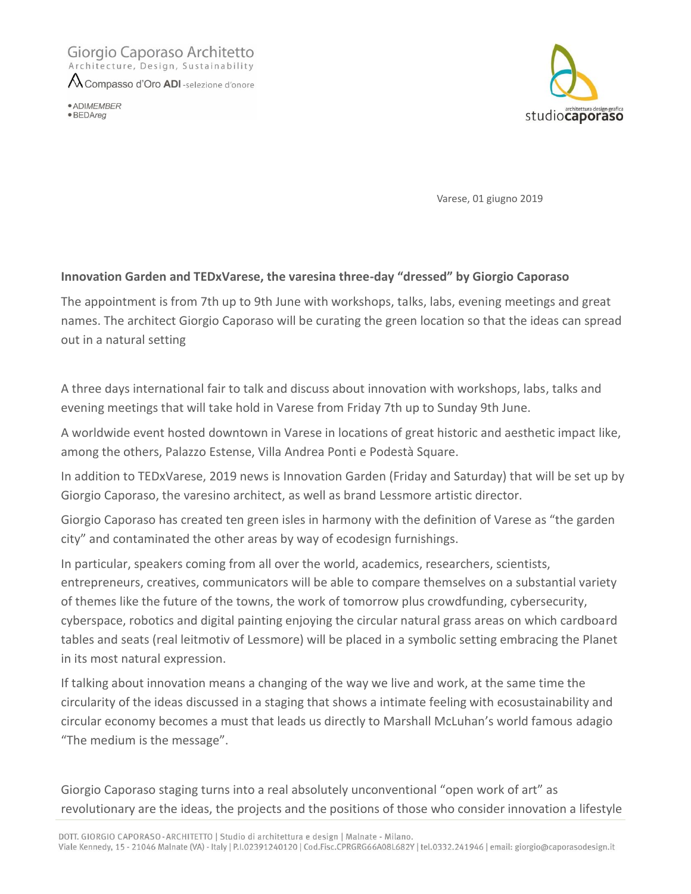## Giorgio Caporaso Architetto Architecture, Design, Sustainability

A Compasso d'Oro ADI -selezione d'onore

· ADIMEMBER  $\bullet$  BEDAreg



Varese, 01 giugno 2019

## **Innovation Garden and TEDxVarese, the varesina three-day "dressed" by Giorgio Caporaso**

The appointment is from 7th up to 9th June with workshops, talks, labs, evening meetings and great names. The architect Giorgio Caporaso will be curating the green location so that the ideas can spread out in a natural setting

A three days international fair to talk and discuss about innovation with workshops, labs, talks and evening meetings that will take hold in Varese from Friday 7th up to Sunday 9th June.

A worldwide event hosted downtown in Varese in locations of great historic and aesthetic impact like, among the others, Palazzo Estense, Villa Andrea Ponti e Podestà Square.

In addition to TEDxVarese, 2019 news is Innovation Garden (Friday and Saturday) that will be set up by Giorgio Caporaso, the varesino architect, as well as brand Lessmore artistic director.

Giorgio Caporaso has created ten green isles in harmony with the definition of Varese as "the garden city" and contaminated the other areas by way of ecodesign furnishings.

In particular, speakers coming from all over the world, academics, researchers, scientists, entrepreneurs, creatives, communicators will be able to compare themselves on a substantial variety of themes like the future of the towns, the work of tomorrow plus crowdfunding, cybersecurity, cyberspace, robotics and digital painting enjoying the circular natural grass areas on which cardboard tables and seats (real leitmotiv of Lessmore) will be placed in a symbolic setting embracing the Planet in its most natural expression.

If talking about innovation means a changing of the way we live and work, at the same time the circularity of the ideas discussed in a staging that shows a intimate feeling with ecosustainability and circular economy becomes a must that leads us directly to Marshall McLuhan's world famous adagio "The medium is the message".

Giorgio Caporaso staging turns into a real absolutely unconventional "open work of art" as revolutionary are the ideas, the projects and the positions of those who consider innovation a lifestyle